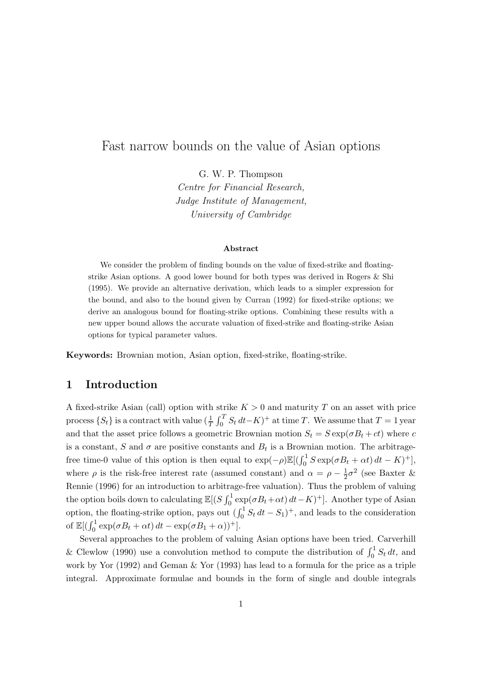# Fast narrow bounds on the value of Asian options

G. W. P. Thompson Centre for Financial Research, Judge Institute of Management, University of Cambridge

#### Abstract

We consider the problem of finding bounds on the value of fixed-strike and floatingstrike Asian options. A good lower bound for both types was derived in Rogers & Shi (1995). We provide an alternative derivation, which leads to a simpler expression for the bound, and also to the bound given by Curran (1992) for fixed-strike options; we derive an analogous bound for floating-strike options. Combining these results with a new upper bound allows the accurate valuation of fixed-strike and floating-strike Asian options for typical parameter values.

Keywords: Brownian motion, Asian option, fixed-strike, floating-strike.

## 1 Introduction

A fixed-strike Asian (call) option with strike  $K > 0$  and maturity T on an asset with price process  $\{S_t\}$  is a contract with value  $(\frac{1}{T} \int_0^T S_t dt - K)^+$  at time T. We assume that  $T = 1$  year and that the asset price follows a geometric Brownian motion  $S_t = S \exp(\sigma B_t + ct)$  where c is a constant, S and  $\sigma$  are positive constants and  $B_t$  is a Brownian motion. The arbitragefree time-0 value of this option is then equal to  $\exp(-\rho) \mathbb{E}[(\int_0^1 S \exp(\sigma B_t + \alpha t) dt - K)^+]$ , where  $\rho$  is the risk-free interest rate (assumed constant) and  $\alpha = \rho - \frac{1}{2}$  $\frac{1}{2}\sigma^2$  (see Baxter & Rennie (1996) for an introduction to arbitrage-free valuation). Thus the problem of valuing the option boils down to calculating  $\mathbb{E}[(S \int_0^1 \exp(\sigma B_t + \alpha t) dt - K)^+]$ . Another type of Asian option, the floating-strike option, pays out  $(\int_0^1 S_t dt - S_1)^+$ , and leads to the consideration of  $\mathbb{E}[(\int_0^1 \exp(\sigma B_t + \alpha t) dt - \exp(\sigma B_1 + \alpha))$ <sup>+</sup>].

Several approaches to the problem of valuing Asian options have been tried. Carverhill & Clewlow (1990) use a convolution method to compute the distribution of  $\int_0^1 S_t dt$ , and work by Yor (1992) and Geman & Yor (1993) has lead to a formula for the price as a triple integral. Approximate formulae and bounds in the form of single and double integrals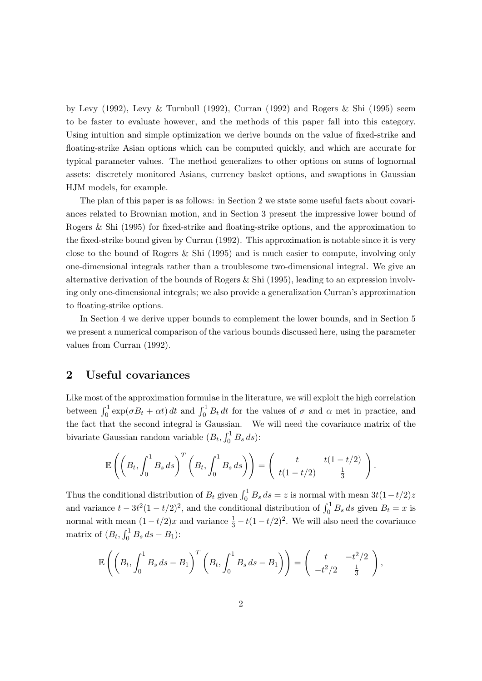by Levy (1992), Levy & Turnbull (1992), Curran (1992) and Rogers & Shi (1995) seem to be faster to evaluate however, and the methods of this paper fall into this category. Using intuition and simple optimization we derive bounds on the value of fixed-strike and floating-strike Asian options which can be computed quickly, and which are accurate for typical parameter values. The method generalizes to other options on sums of lognormal assets: discretely monitored Asians, currency basket options, and swaptions in Gaussian HJM models, for example.

The plan of this paper is as follows: in Section 2 we state some useful facts about covariances related to Brownian motion, and in Section 3 present the impressive lower bound of Rogers & Shi (1995) for fixed-strike and floating-strike options, and the approximation to the fixed-strike bound given by Curran (1992). This approximation is notable since it is very close to the bound of Rogers  $\&$  Shi (1995) and is much easier to compute, involving only one-dimensional integrals rather than a troublesome two-dimensional integral. We give an alternative derivation of the bounds of Rogers  $\&$  Shi (1995), leading to an expression involving only one-dimensional integrals; we also provide a generalization Curran's approximation to floating-strike options.

In Section 4 we derive upper bounds to complement the lower bounds, and in Section 5 we present a numerical comparison of the various bounds discussed here, using the parameter values from Curran (1992).

#### 2 Useful covariances

Like most of the approximation formulae in the literature, we will exploit the high correlation between  $\int_0^1 \exp(\sigma B_t + \alpha t) dt$  and  $\int_0^1 B_t dt$  for the values of  $\sigma$  and  $\alpha$  met in practice, and the fact that the second integral is Gaussian. We will need the covariance matrix of the bivariate Gaussian random variable  $(B_t, \int_0^1 B_s ds)$ :

$$
\mathbb{E}\left(\left(B_t,\int_0^1 B_s ds\right)^T \left(B_t,\int_0^1 B_s ds\right)\right) = \left(\begin{array}{cc} t & t(1-t/2) \\ t(1-t/2) & \frac{1}{3} \end{array}\right).
$$

Thus the conditional distribution of  $B_t$  given  $\int_0^1 B_s ds = z$  is normal with mean  $3t(1-t/2)z$ and variance  $t - 3t^2(1 - t/2)^2$ , and the conditional distribution of  $\int_0^1 B_s ds$  given  $B_t = x$  is normal with mean  $(1 - t/2)x$  and variance  $\frac{1}{3} - t(1 - t/2)^2$ . We will also need the covariance matrix of  $(B_t, \int_0^1 B_s ds - B_1)$ :

$$
\mathbb{E}\left(\left(B_t, \int_0^1 B_s ds - B_1\right)^T \left(B_t, \int_0^1 B_s ds - B_1\right)\right) = \left(\begin{array}{cc} t & -t^2/2\\ -t^2/2 & \frac{1}{3} \end{array}\right),
$$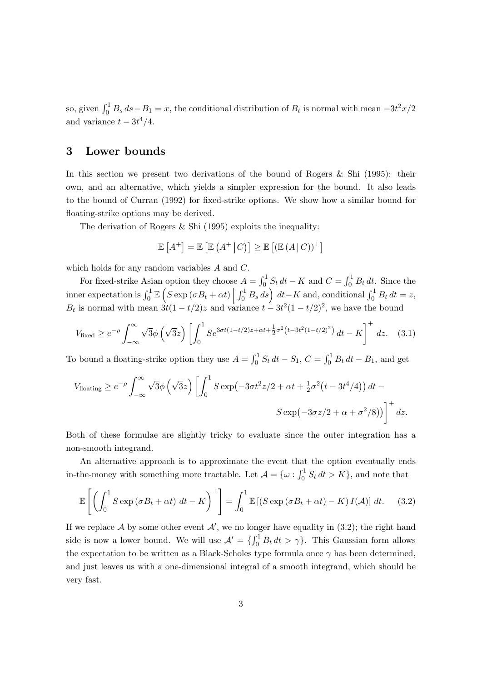so, given  $\int_0^1 B_s ds - B_1 = x$ , the conditional distribution of  $B_t$  is normal with mean  $-3t^2x/2$ and variance  $t - 3t^4/4$ .

#### 3 Lower bounds

In this section we present two derivations of the bound of Rogers  $\&$  Shi (1995): their own, and an alternative, which yields a simpler expression for the bound. It also leads to the bound of Curran (1992) for fixed-strike options. We show how a similar bound for floating-strike options may be derived.

The derivation of Rogers & Shi (1995) exploits the inequality:

$$
\mathbb{E}\left[A^{+}\right] = \mathbb{E}\left[\mathbb{E}\left(A^{+}\right|C\right)\right] \geq \mathbb{E}\left[\left(\mathbb{E}\left(A\right|C\right)\right)^{+}\right]
$$

which holds for any random variables A and C.

For fixed-strike Asian option they choose  $A = \int_0^1 S_t dt - K$  and  $C = \int_0^1 B_t dt$ . Since the inner expectation is  $\int_0^1 \mathbb{E}\left(S \exp\left(\sigma B_t + \alpha t\right) \Big| \int_0^1 B_s ds\right) dt - K$  and, conditional  $\int_0^1 B_t dt = z$ ,  $B_t$  is normal with mean  $3t(1-t/2)z$  and variance  $t-3t^2(1-t/2)^2$ , we have the bound

$$
V_{\text{fixed}} \ge e^{-\rho} \int_{-\infty}^{\infty} \sqrt{3} \phi \left( \sqrt{3} z \right) \left[ \int_{0}^{1} S e^{3\sigma t (1 - t/2)z + \alpha t + \frac{1}{2}\sigma^{2} \left( t - 3t^{2} (1 - t/2)^{2} \right)} dt - K \right]^{+} dz. \quad (3.1)
$$

To bound a floating-strike option they use  $A = \int_0^1 S_t dt - S_1$ ,  $C = \int_0^1 B_t dt - B_1$ , and get

$$
V_{\text{floating}} \ge e^{-\rho} \int_{-\infty}^{\infty} \sqrt{3} \phi \left( \sqrt{3} z \right) \left[ \int_{0}^{1} S \exp \left( -3 \sigma t^{2} z / 2 + \alpha t + \frac{1}{2} \sigma^{2} \left( t - 3t^{4} / 4 \right) \right) dt - S \exp \left( -3 \sigma z / 2 + \alpha + \sigma^{2} / 8 \right) \right]^{+} dz.
$$

Both of these formulae are slightly tricky to evaluate since the outer integration has a non-smooth integrand.

An alternative approach is to approximate the event that the option eventually ends in-the-money with something more tractable. Let  $\mathcal{A} = \{ \omega : \int_0^1 S_t dt > K \}$ , and note that

$$
\mathbb{E}\left[\left(\int_0^1 S \exp\left(\sigma B_t + \alpha t\right) dt - K\right)^+\right] = \int_0^1 \mathbb{E}\left[\left(S \exp\left(\sigma B_t + \alpha t\right) - K\right) I(\mathcal{A})\right] dt. \tag{3.2}
$$

If we replace A by some other event  $\mathcal{A}'$ , we no longer have equality in (3.2); the right hand side is now a lower bound. We will use  $\mathcal{A}' = \{\int_0^1 B_t dt > \gamma\}$ . This Gaussian form allows the expectation to be written as a Black-Scholes type formula once  $\gamma$  has been determined, and just leaves us with a one-dimensional integral of a smooth integrand, which should be very fast.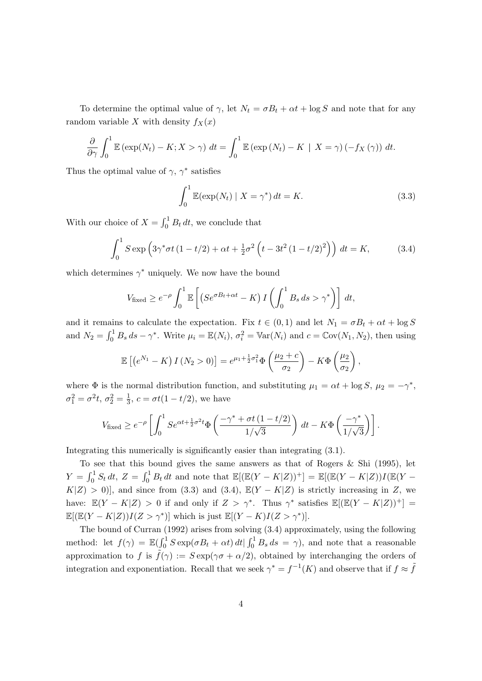To determine the optimal value of  $\gamma$ , let  $N_t = \sigma B_t + \alpha t + \log S$  and note that for any random variable X with density  $f_X(x)$ 

$$
\frac{\partial}{\partial \gamma} \int_0^1 \mathbb{E} \left( \exp(N_t) - K; X > \gamma \right) dt = \int_0^1 \mathbb{E} \left( \exp(N_t) - K \mid X = \gamma \right) \left( -f_X(\gamma) \right) dt.
$$

Thus the optimal value of  $\gamma$ ,  $\gamma^*$  satisfies

$$
\int_0^1 \mathbb{E}(\exp(N_t) \mid X = \gamma^*) dt = K.
$$
\n(3.3)

With our choice of  $X = \int_0^1 B_t dt$ , we conclude that

$$
\int_0^1 S \exp\left(3\gamma^* \sigma t \left(1 - t/2\right) + \alpha t + \frac{1}{2} \sigma^2 \left(t - 3t^2 \left(1 - t/2\right)^2\right)\right) dt = K,\tag{3.4}
$$

which determines  $\gamma^*$  uniquely. We now have the bound

$$
V_{\text{fixed}} \ge e^{-\rho} \int_0^1 \mathbb{E}\left[ \left( S e^{\sigma B_t + \alpha t} - K \right) I \left( \int_0^1 B_s \, ds > \gamma^* \right) \right] \, dt,
$$

and it remains to calculate the expectation. Fix  $t \in (0,1)$  and let  $N_1 = \sigma B_t + \alpha t + \log S$ and  $N_2 = \int_0^1 B_s ds - \gamma^*$ . Write  $\mu_i = \mathbb{E}(N_i)$ ,  $\sigma_i^2 = \mathbb{V}\text{ar}(N_i)$  and  $c = \mathbb{C}\text{ov}(N_1, N_2)$ , then using

$$
\mathbb{E}\left[\left(e^{N_1}-K\right)I\left(N_2>0\right)\right]=e^{\mu_1+\frac{1}{2}\sigma_1^2}\Phi\left(\frac{\mu_2+c}{\sigma_2}\right)-K\Phi\left(\frac{\mu_2}{\sigma_2}\right),
$$

where  $\Phi$  is the normal distribution function, and substituting  $\mu_1 = \alpha t + \log S$ ,  $\mu_2 = -\gamma^*$ ,  $\sigma_1^2 = \sigma^2 t, \, \sigma_2^2 = \frac{1}{3}$  $\frac{1}{3}$ ,  $c = \sigma t (1 - t/2)$ , we have

$$
V_{\text{fixed}} \ge e^{-\rho} \left[ \int_0^1 S e^{\alpha t + \frac{1}{2}\sigma^2 t} \Phi\left(\frac{-\gamma^* + \sigma t \left(1 - t/2\right)}{1/\sqrt{3}}\right) dt - K\Phi\left(\frac{-\gamma^*}{1/\sqrt{3}}\right) \right].
$$

Integrating this numerically is significantly easier than integrating (3.1).

To see that this bound gives the same answers as that of Rogers & Shi (1995), let  $Y = \int_0^1 S_t dt$ ,  $Z = \int_0^1 B_t dt$  and note that  $\mathbb{E}[(\mathbb{E}(Y - K|Z))^+] = \mathbb{E}[(\mathbb{E}(Y - K|Z))I(\mathbb{E}(Y - K|Z))^+]$  $K|Z| > 0$ , and since from (3.3) and (3.4),  $\mathbb{E}(Y - K|Z)$  is strictly increasing in Z, we have:  $\mathbb{E}(Y - K|Z) > 0$  if and only if  $Z > \gamma^*$ . Thus  $\gamma^*$  satisfies  $\mathbb{E}[(\mathbb{E}(Y - K|Z))^+] =$  $\mathbb{E}[(\mathbb{E}(Y-K|Z))I(Z>\gamma^*)]$  which is just  $\mathbb{E}[(Y-K)I(Z>\gamma^*)]$ .

The bound of Curran (1992) arises from solving (3.4) approximately, using the following method: let  $f(\gamma) = \mathbb{E}(\int_0^1 S \exp(\sigma B_t + \alpha t) dt | \int_0^1 B_s ds = \gamma)$ , and note that a reasonable approximation to f is  $\tilde{f}(\gamma) := S \exp(\gamma \sigma + \alpha/2)$ , obtained by interchanging the orders of integration and exponentiation. Recall that we seek  $\gamma^* = f^{-1}(K)$  and observe that if  $f \approx \tilde{f}$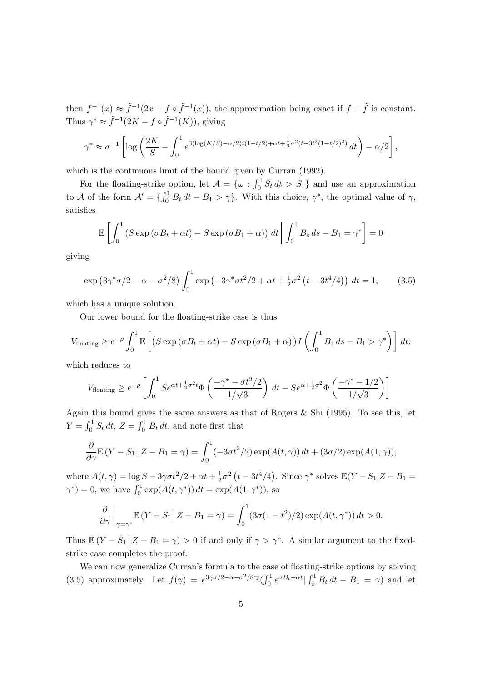then  $f^{-1}(x) \approx \tilde{f}^{-1}(2x - f \circ \tilde{f}^{-1}(x))$ , the approximation being exact if  $f - \tilde{f}$  is constant. Thus  $\gamma^* \approx \tilde{f}^{-1}(2K - f \circ \tilde{f}^{-1}(K))$ , giving

$$
\gamma^* \approx \sigma^{-1} \left[ \log \left( \frac{2K}{S} - \int_0^1 e^{3(\log(K/S) - \alpha/2)t(1 - t/2) + \alpha t + \frac{1}{2}\sigma^2(t - 3t^2(1 - t/2)^2)} dt \right) - \alpha/2 \right],
$$

which is the continuous limit of the bound given by Curran (1992).

For the floating-strike option, let  $\mathcal{A} = \{ \omega : \int_0^1 S_t dt > S_1 \}$  and use an approximation to A of the form  $\mathcal{A}' = \{\int_0^1 B_t dt - B_1 > \gamma\}$ . With this choice,  $\gamma^*$ , the optimal value of  $\gamma$ , satisfies

$$
\mathbb{E}\left[\int_0^1 (S\exp\left(\sigma B_t + \alpha t\right) - S\exp\left(\sigma B_1 + \alpha\right)\right) dt \bigg| \int_0^1 B_s ds - B_1 = \gamma^* \right] = 0
$$

giving

$$
\exp\left(3\gamma^* \sigma/2 - \alpha - \sigma^2/8\right) \int_0^1 \exp\left(-3\gamma^* \sigma t^2/2 + \alpha t + \frac{1}{2}\sigma^2 \left(t - 3t^4/4\right)\right) dt = 1, \tag{3.5}
$$

which has a unique solution.

Our lower bound for the floating-strike case is thus

$$
V_{\text{floating}} \ge e^{-\rho} \int_0^1 \mathbb{E}\left[ \left( S \exp\left(\sigma B_t + \alpha t\right) - S \exp\left(\sigma B_1 + \alpha\right) \right) I \left( \int_0^1 B_s \, ds - B_1 > \gamma^* \right) \right] \, dt,
$$

which reduces to

$$
V_{\text{floating}} \geq e^{-\rho} \left[ \int_0^1 S e^{\alpha t + \frac{1}{2}\sigma^2 t} \Phi\left( \frac{-\gamma^* - \sigma t^2/2}{1/\sqrt{3}} \right) dt - S e^{\alpha + \frac{1}{2}\sigma^2 t} \Phi\left( \frac{-\gamma^* - 1/2}{1/\sqrt{3}} \right) \right].
$$

Again this bound gives the same answers as that of Rogers & Shi (1995). To see this, let  $Y = \int_0^1 S_t dt$ ,  $Z = \int_0^1 B_t dt$ , and note first that

$$
\frac{\partial}{\partial \gamma} \mathbb{E} (Y - S_1 | Z - B_1 = \gamma) = \int_0^1 (-3\sigma t^2 / 2) \exp(A(t, \gamma)) dt + (3\sigma/2) \exp(A(1, \gamma)),
$$

where  $A(t, \gamma) = \log S - 3\gamma \sigma t^2/2 + \alpha t + \frac{1}{2}$  $\frac{1}{2}\sigma^2(t - 3t^4/4)$ . Since  $\gamma^*$  solves  $\mathbb{E}(Y - S_1 | Z - B_1 =$  $\gamma^*$  = 0, we have  $\int_0^1 \exp(A(t, \gamma^*)) dt = \exp(A(1, \gamma^*)),$  so

$$
\frac{\partial}{\partial \gamma}\Big|_{\gamma=\gamma^*}\mathbb{E}\left(Y-S_1\,|\,Z-B_1=\gamma\right)=\int_0^1(3\sigma(1-t^2)/2)\exp(A(t,\gamma^*))\,dt>0.
$$

Thus  $\mathbb{E}(Y - S_1 | Z - B_1 = \gamma) > 0$  if and only if  $\gamma > \gamma^*$ . A similar argument to the fixedstrike case completes the proof.

We can now generalize Curran's formula to the case of floating-strike options by solving (3.5) approximately. Let  $f(\gamma) = e^{3\gamma\sigma/2 - \alpha - \sigma^2/8} \mathbb{E}(\int_0^1 e^{\sigma B_t + \alpha t} |\int_0^1 B_t dt - B_1 = \gamma)$  and let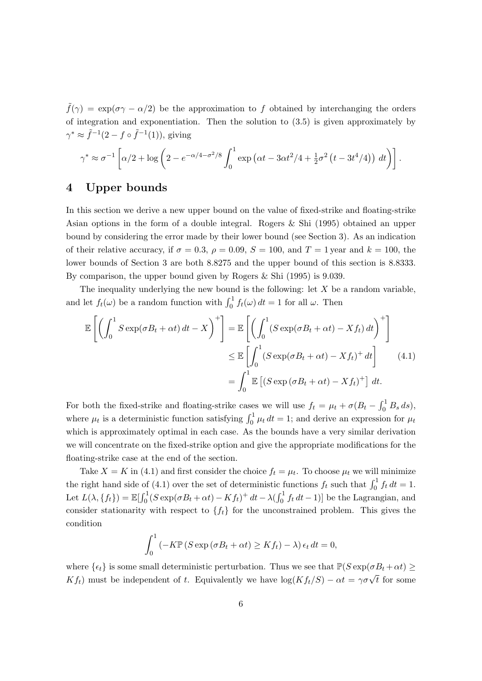$\tilde{f}(\gamma) = \exp(\sigma \gamma - \alpha/2)$  be the approximation to f obtained by interchanging the orders of integration and exponentiation. Then the solution to (3.5) is given approximately by  $\gamma^* \approx \tilde{f}^{-1}(2 - f \circ \tilde{f}^{-1}(1)),$  giving

$$
\gamma^* \approx \sigma^{-1} \left[ \alpha/2 + \log \left( 2 - e^{-\alpha/4 - \sigma^2/8} \int_0^1 \exp \left( \alpha t - 3\alpha t^2/4 + \frac{1}{2} \sigma^2 \left( t - 3t^4/4 \right) \right) dt \right) \right].
$$

### 4 Upper bounds

In this section we derive a new upper bound on the value of fixed-strike and floating-strike Asian options in the form of a double integral. Rogers & Shi (1995) obtained an upper bound by considering the error made by their lower bound (see Section 3). As an indication of their relative accuracy, if  $\sigma = 0.3$ ,  $\rho = 0.09$ ,  $S = 100$ , and  $T = 1$  year and  $k = 100$ , the lower bounds of Section 3 are both 8.8275 and the upper bound of this section is 8.8333. By comparison, the upper bound given by Rogers & Shi (1995) is 9.039.

The inequality underlying the new bound is the following: let  $X$  be a random variable, and let  $f_t(\omega)$  be a random function with  $\int_0^1 f_t(\omega) dt = 1$  for all  $\omega$ . Then

$$
\mathbb{E}\left[\left(\int_0^1 S \exp(\sigma B_t + \alpha t) dt - X\right)^+\right] = \mathbb{E}\left[\left(\int_0^1 (S \exp(\sigma B_t + \alpha t) - X f_t) dt\right)^+\right]
$$
  
\n
$$
\leq \mathbb{E}\left[\int_0^1 (S \exp(\sigma B_t + \alpha t) - X f_t)^+ dt\right]
$$
(4.1)  
\n
$$
= \int_0^1 \mathbb{E}\left[(S \exp(\sigma B_t + \alpha t) - X f_t)^+\right] dt.
$$

For both the fixed-strike and floating-strike cases we will use  $f_t = \mu_t + \sigma(B_t - \int_0^1 B_s ds)$ , where  $\mu_t$  is a deterministic function satisfying  $\int_0^1 \mu_t dt = 1$ ; and derive an expression for  $\mu_t$ which is approximately optimal in each case. As the bounds have a very similar derivation we will concentrate on the fixed-strike option and give the appropriate modifications for the floating-strike case at the end of the section.

Take  $X = K$  in (4.1) and first consider the choice  $f_t = \mu_t$ . To choose  $\mu_t$  we will minimize the right hand side of (4.1) over the set of deterministic functions  $f_t$  such that  $\int_0^1 f_t dt = 1$ . Let  $L(\lambda, \{f_t\}) = \mathbb{E}[\int_0^1 (S \exp(\sigma B_t + \alpha t) - K f_t)^+ dt - \lambda (\int_0^1 f_t dt - 1)]$  be the Lagrangian, and consider stationarity with respect to  ${f_t}$  for the unconstrained problem. This gives the condition

$$
\int_0^1 \left( -K \mathbb{P} \left( S \exp \left( \sigma B_t + \alpha t \right) \ge K f_t \right) - \lambda \right) \epsilon_t dt = 0,
$$

where  $\{\epsilon_t\}$  is some small deterministic perturbation. Thus we see that  $\mathbb{P}(S \exp(\sigma B_t + \alpha t) \geq$ where  $\{\epsilon_t\}$  is some sman deterministic perturbation. Thus we see that  $\mathbb{I}(\epsilon) \exp(\sigma D_t + \alpha t) \leq K f_t$  must be independent of t. Equivalently we have  $\log(K f_t/S) - \alpha t = \gamma \sigma \sqrt{t}$  for some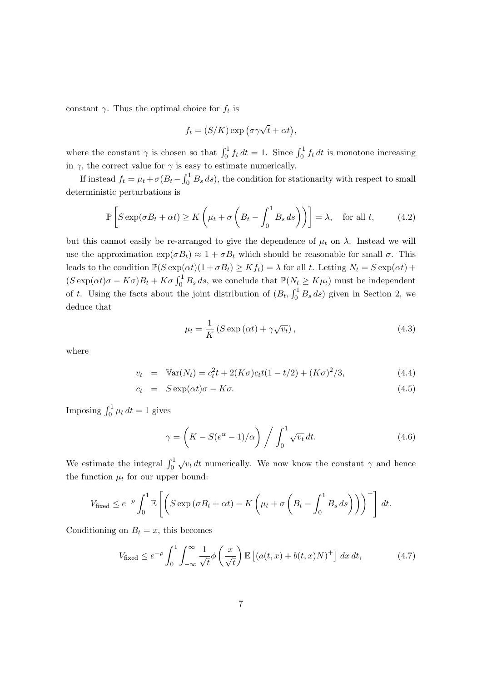constant  $\gamma$ . Thus the optimal choice for  $f_t$  is

$$
f_t = (S/K) \exp(\sigma \gamma \sqrt{t} + \alpha t),
$$

where the constant  $\gamma$  is chosen so that  $\int_0^1 f_t dt = 1$ . Since  $\int_0^1 f_t dt$  is monotone increasing in  $\gamma$ , the correct value for  $\gamma$  is easy to estimate numerically.

If instead  $f_t = \mu_t + \sigma (B_t - \int_0^1 B_s ds)$ , the condition for stationarity with respect to small deterministic perturbations is

$$
\mathbb{P}\left[S\exp(\sigma B_t + \alpha t) \ge K\left(\mu_t + \sigma\left(B_t - \int_0^1 B_s ds\right)\right)\right] = \lambda, \quad \text{for all } t,
$$
 (4.2)

but this cannot easily be re-arranged to give the dependence of  $\mu_t$  on  $\lambda$ . Instead we will use the approximation  $\exp(\sigma B_t) \approx 1 + \sigma B_t$  which should be reasonable for small  $\sigma$ . This leads to the condition  $\mathbb{P}(S \exp(\alpha t)(1 + \sigma B_t) \geq K f_t) = \lambda$  for all t. Letting  $N_t = S \exp(\alpha t) +$  $(S \exp(\alpha t) \sigma - K \sigma) B_t + K \sigma \int_0^1 B_s ds$ , we conclude that  $\mathbb{P}(N_t \ge K \mu_t)$  must be independent of t. Using the facts about the joint distribution of  $(B_t, \int_0^1 B_s ds)$  given in Section 2, we deduce that

$$
\mu_t = \frac{1}{K} \left( S \exp\left(\alpha t\right) + \gamma \sqrt{v_t} \right),\tag{4.3}
$$

where

$$
v_t = \text{Var}(N_t) = c_t^2 t + 2(K\sigma)c_t t(1 - t/2) + (K\sigma)^2/3,
$$
\n(4.4)

$$
c_t = S \exp(\alpha t) \sigma - K \sigma. \tag{4.5}
$$

Imposing  $\int_0^1 \mu_t dt = 1$  gives

$$
\gamma = \left( K - S(e^{\alpha} - 1)/\alpha \right) / \int_0^1 \sqrt{v_t} dt.
$$
\n(4.6)

We estimate the integral  $\int_0^1$  $\overline{v_t}$  dt numerically. We now know the constant  $\gamma$  and hence the function  $\mu_t$  for our upper bound:

$$
V_{\text{fixed}} \leq e^{-\rho} \int_0^1 \mathbb{E}\left[ \left( S \exp\left(\sigma B_t + \alpha t\right) - K \left( \mu_t + \sigma \left( B_t - \int_0^1 B_s \, ds \right) \right) \right)^+ \right] dt.
$$

Conditioning on  $B_t = x$ , this becomes

$$
V_{\text{fixed}} \le e^{-\rho} \int_0^1 \int_{-\infty}^\infty \frac{1}{\sqrt{t}} \phi\left(\frac{x}{\sqrt{t}}\right) \mathbb{E}\left[\left(a(t,x) + b(t,x)N\right)^+\right] dx dt, \tag{4.7}
$$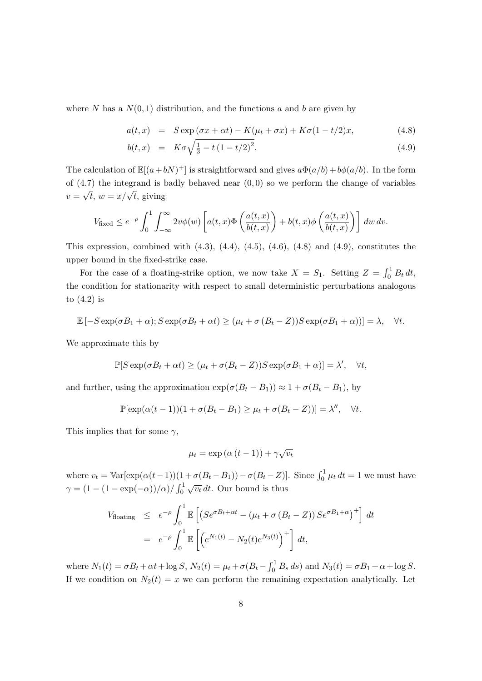where N has a  $N(0, 1)$  distribution, and the functions a and b are given by

$$
a(t,x) = S \exp(\sigma x + \alpha t) - K(\mu_t + \sigma x) + K\sigma(1 - t/2)x, \qquad (4.8)
$$

$$
b(t,x) = K\sigma\sqrt{\frac{1}{3} - t(1 - t/2)^2}.
$$
\n(4.9)

The calculation of  $\mathbb{E}[(a+bN)^+]$  is straightforward and gives  $a\Phi(a/b) + b\phi(a/b)$ . In the form of  $(4.7)$  the integrand is badly behaved near  $(0,0)$  so we perform the change of variables or (4.*t*) the integrand is  $v = \sqrt{t}$ ,  $w = x/\sqrt{t}$ , giving

$$
V_{\text{fixed}} \leq e^{-\rho} \int_0^1 \int_{-\infty}^{\infty} 2v \phi(w) \left[ a(t,x) \Phi\left( \frac{a(t,x)}{b(t,x)} \right) + b(t,x) \phi\left( \frac{a(t,x)}{b(t,x)} \right) \right] dw dv.
$$

This expression, combined with  $(4.3)$ ,  $(4.4)$ ,  $(4.5)$ ,  $(4.6)$ ,  $(4.8)$  and  $(4.9)$ , constitutes the upper bound in the fixed-strike case.

For the case of a floating-strike option, we now take  $X = S_1$ . Setting  $Z = \int_0^1 B_t dt$ , the condition for stationarity with respect to small deterministic perturbations analogous to (4.2) is

$$
\mathbb{E}\left[-S\exp(\sigma B_1+\alpha);S\exp(\sigma B_t+\alpha t)\geq(\mu_t+\sigma(B_t-Z))S\exp(\sigma B_1+\alpha)\right]=\lambda,\quad\forall t.
$$

We approximate this by

$$
\mathbb{P}[S \exp(\sigma B_t + \alpha t) \ge (\mu_t + \sigma(B_t - Z))S \exp(\sigma B_1 + \alpha)] = \lambda', \quad \forall t,
$$

and further, using the approximation  $\exp(\sigma(B_t - B_1)) \approx 1 + \sigma(B_t - B_1)$ , by

$$
\mathbb{P}[\exp(\alpha(t-1))(1+\sigma(B_t-B_1)\geq\mu_t+\sigma(B_t-Z))]=\lambda'',\quad\forall t.
$$

This implies that for some  $\gamma$ ,

$$
\mu_t = \exp\left(\alpha \left(t - 1\right)\right) + \gamma \sqrt{v_t}
$$

where  $v_t = \text{Var}[\exp(\alpha(t-1))(1+\sigma(B_t-B_1)) - \sigma(B_t-Z)].$  Since  $\int_0^1 \mu_t dt = 1$  we must have  $\gamma = (1 - (1 - \exp(-\alpha))/\alpha) / \int_0^1$ √  $\overline{v_t}$  dt. Our bound is thus

$$
V_{\text{floating}} \leq e^{-\rho} \int_0^1 \mathbb{E} \left[ \left( S e^{\sigma B_t + \alpha t} - (\mu_t + \sigma (B_t - Z)) S e^{\sigma B_1 + \alpha} \right)^+ \right] dt
$$
  
=  $e^{-\rho} \int_0^1 \mathbb{E} \left[ \left( e^{N_1(t)} - N_2(t) e^{N_3(t)} \right)^+ \right] dt$ ,

where  $N_1(t) = \sigma B_t + \alpha t + \log S$ ,  $N_2(t) = \mu_t + \sigma (B_t - \int_0^1 B_s ds)$  and  $N_3(t) = \sigma B_1 + \alpha + \log S$ . If we condition on  $N_2(t) = x$  we can perform the remaining expectation analytically. Let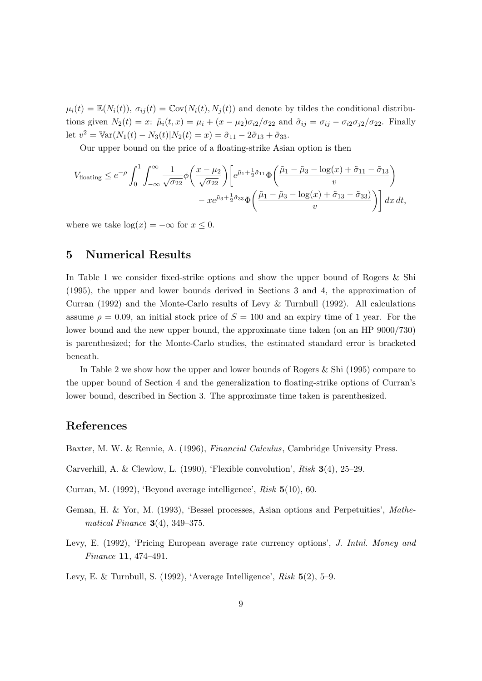$\mu_i(t) = \mathbb{E}(N_i(t)), \sigma_{ij}(t) = \mathbb{C}\text{ov}(N_i(t), N_j(t))$  and denote by tildes the conditional distributions given  $N_2(t) = x$ :  $\tilde{\mu}_i(t, x) = \mu_i + (x - \mu_2)\sigma_{i2}/\sigma_{22}$  and  $\tilde{\sigma}_{ij} = \sigma_{ij} - \sigma_{i2}\sigma_{j2}/\sigma_{22}$ . Finally let  $v^2 = \text{Var}(N_1(t) - N_3(t)|N_2(t) = x) = \tilde{\sigma}_{11} - 2\tilde{\sigma}_{13} + \tilde{\sigma}_{33}.$ 

Our upper bound on the price of a floating-strike Asian option is then

$$
V_{\text{floating}} \leq e^{-\rho} \int_0^1 \int_{-\infty}^{\infty} \frac{1}{\sqrt{\sigma_{22}}} \phi\left(\frac{x-\mu_2}{\sqrt{\sigma_{22}}}\right) \left[e^{\tilde{\mu}_1 + \frac{1}{2}\tilde{\sigma}_{11}} \Phi\left(\frac{\tilde{\mu}_1 - \tilde{\mu}_3 - \log(x) + \tilde{\sigma}_{11} - \tilde{\sigma}_{13}}{v}\right) - xe^{\tilde{\mu}_3 + \frac{1}{2}\tilde{\sigma}_{33}} \Phi\left(\frac{\tilde{\mu}_1 - \tilde{\mu}_3 - \log(x) + \tilde{\sigma}_{13} - \tilde{\sigma}_{33})}{v}\right)\right] dx dt,
$$

where we take  $\log(x) = -\infty$  for  $x \leq 0$ .

#### 5 Numerical Results

In Table 1 we consider fixed-strike options and show the upper bound of Rogers & Shi (1995), the upper and lower bounds derived in Sections 3 and 4, the approximation of Curran (1992) and the Monte-Carlo results of Levy & Turnbull (1992). All calculations assume  $\rho = 0.09$ , an initial stock price of  $S = 100$  and an expiry time of 1 year. For the lower bound and the new upper bound, the approximate time taken (on an HP 9000/730) is parenthesized; for the Monte-Carlo studies, the estimated standard error is bracketed beneath.

In Table 2 we show how the upper and lower bounds of Rogers & Shi (1995) compare to the upper bound of Section 4 and the generalization to floating-strike options of Curran's lower bound, described in Section 3. The approximate time taken is parenthesized.

## References

Baxter, M. W. & Rennie, A. (1996), Financial Calculus, Cambridge University Press.

- Carverhill, A. & Clewlow, L. (1990), 'Flexible convolution', Risk 3(4), 25–29.
- Curran, M. (1992), 'Beyond average intelligence', Risk 5(10), 60.
- Geman, H. & Yor, M. (1993), 'Bessel processes, Asian options and Perpetuities', Mathematical Finance  $3(4)$ , 349-375.
- Levy, E. (1992), 'Pricing European average rate currency options', J. Intnl. Money and Finance 11, 474–491.

Levy, E. & Turnbull, S. (1992), 'Average Intelligence', Risk 5(2), 5–9.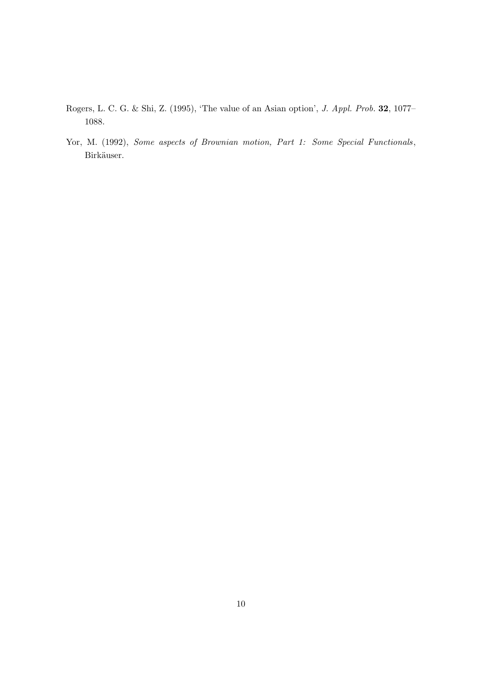- Rogers, L. C. G. & Shi, Z. (1995), 'The value of an Asian option', J. Appl. Prob. 32, 1077– 1088.
- Yor, M. (1992), Some aspects of Brownian motion, Part 1: Some Special Functionals, Birkäuser.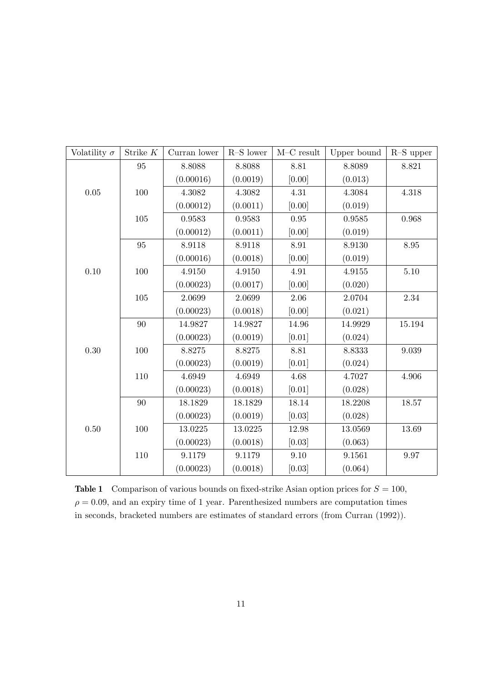| Volatility $\sigma$ | Strike ${\cal K}$ | Curran lower | $R-S$ lower | $M-C$ result | Upper bound | $R-S$ upper |
|---------------------|-------------------|--------------|-------------|--------------|-------------|-------------|
|                     | 95                | 8.8088       | 8.8088      | 8.81         | 8.8089      | 8.821       |
|                     |                   | (0.00016)    | (0.0019)    | [0.00]       | (0.013)     |             |
| 0.05                | 100               | 4.3082       | 4.3082      | 4.31         | 4.3084      | 4.318       |
|                     |                   | (0.00012)    | (0.0011)    | [0.00]       | (0.019)     |             |
|                     | $105\,$           | 0.9583       | 0.9583      | $0.95\,$     | 0.9585      | 0.968       |
|                     |                   | (0.00012)    | (0.0011)    | [0.00]       | (0.019)     |             |
|                     | 95                | 8.9118       | 8.9118      | 8.91         | 8.9130      | 8.95        |
|                     |                   | (0.00016)    | (0.0018)    | [0.00]       | (0.019)     |             |
| 0.10                | 100               | 4.9150       | 4.9150      | 4.91         | 4.9155      | $5.10\,$    |
|                     |                   | (0.00023)    | (0.0017)    | [0.00]       | (0.020)     |             |
|                     | 105               | 2.0699       | 2.0699      | 2.06         | 2.0704      | 2.34        |
|                     |                   | (0.00023)    | (0.0018)    | [0.00]       | (0.021)     |             |
|                     | 90                | 14.9827      | 14.9827     | 14.96        | 14.9929     | 15.194      |
|                     |                   | (0.00023)    | (0.0019)    | [0.01]       | (0.024)     |             |
| 0.30                | 100               | 8.8275       | 8.8275      | 8.81         | 8.8333      | 9.039       |
|                     |                   | (0.00023)    | (0.0019)    | [0.01]       | (0.024)     |             |
|                     | 110               | 4.6949       | 4.6949      | 4.68         | 4.7027      | 4.906       |
|                     |                   | (0.00023)    | (0.0018)    | [0.01]       | (0.028)     |             |
|                     | 90                | 18.1829      | 18.1829     | 18.14        | 18.2208     | 18.57       |
|                     |                   | (0.00023)    | (0.0019)    | [0.03]       | (0.028)     |             |
| 0.50                | 100               | 13.0225      | 13.0225     | 12.98        | 13.0569     | 13.69       |
|                     |                   | (0.00023)    | (0.0018)    | [0.03]       | (0.063)     |             |
|                     | 110               | 9.1179       | 9.1179      | 9.10         | 9.1561      | 9.97        |
|                     |                   | (0.00023)    | (0.0018)    | [0.03]       | (0.064)     |             |

**Table 1** Comparison of various bounds on fixed-strike Asian option prices for  $S = 100$ ,  $\rho = 0.09$ , and an expiry time of 1 year. Parenthesized numbers are computation times in seconds, bracketed numbers are estimates of standard errors (from Curran (1992)).